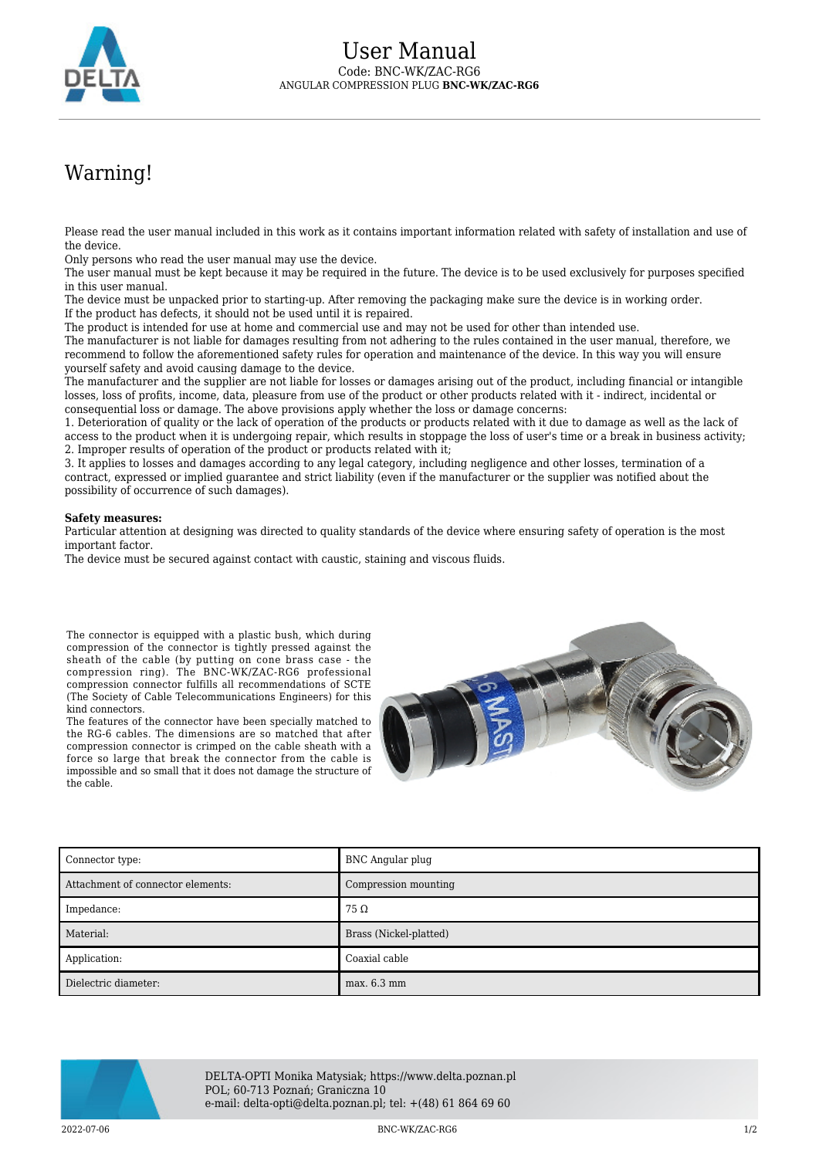

## Warning!

Please read the user manual included in this work as it contains important information related with safety of installation and use of the device.

Only persons who read the user manual may use the device.

The user manual must be kept because it may be required in the future. The device is to be used exclusively for purposes specified in this user manual.

The device must be unpacked prior to starting-up. After removing the packaging make sure the device is in working order. If the product has defects, it should not be used until it is repaired.

The product is intended for use at home and commercial use and may not be used for other than intended use.

The manufacturer is not liable for damages resulting from not adhering to the rules contained in the user manual, therefore, we recommend to follow the aforementioned safety rules for operation and maintenance of the device. In this way you will ensure yourself safety and avoid causing damage to the device.

The manufacturer and the supplier are not liable for losses or damages arising out of the product, including financial or intangible losses, loss of profits, income, data, pleasure from use of the product or other products related with it - indirect, incidental or consequential loss or damage. The above provisions apply whether the loss or damage concerns:

1. Deterioration of quality or the lack of operation of the products or products related with it due to damage as well as the lack of access to the product when it is undergoing repair, which results in stoppage the loss of user's time or a break in business activity; 2. Improper results of operation of the product or products related with it;

3. It applies to losses and damages according to any legal category, including negligence and other losses, termination of a contract, expressed or implied guarantee and strict liability (even if the manufacturer or the supplier was notified about the possibility of occurrence of such damages).

## **Safety measures:**

Particular attention at designing was directed to quality standards of the device where ensuring safety of operation is the most important factor.

The device must be secured against contact with caustic, staining and viscous fluids.

The connector is equipped with a plastic bush, which during compression of the connector is tightly pressed against the sheath of the cable (by putting on cone brass case - the compression ring). The BNC-WK/ZAC-RG6 professional compression connector fulfills all recommendations of SCTE (The Society of Cable Telecommunications Engineers) for this kind connectors.

The features of the connector have been specially matched to the RG-6 cables. The dimensions are so matched that after compression connector is crimped on the cable sheath with a force so large that break the connector from the cable is impossible and so small that it does not damage the structure of the cable.



| Connector type:                   | BNC Angular plug       |
|-----------------------------------|------------------------|
| Attachment of connector elements: | Compression mounting   |
| Impedance:                        | $75\,\Omega$           |
| Material:                         | Brass (Nickel-platted) |
| Application:                      | Coaxial cable          |
| Dielectric diameter:              | max. 6.3 mm            |



DELTA-OPTI Monika Matysiak; https://www.delta.poznan.pl POL; 60-713 Poznań; Graniczna 10 e-mail: delta-opti@delta.poznan.pl; tel: +(48) 61 864 69 60

2022-07-06 BNC-WK/ZAC-RG6 1/2